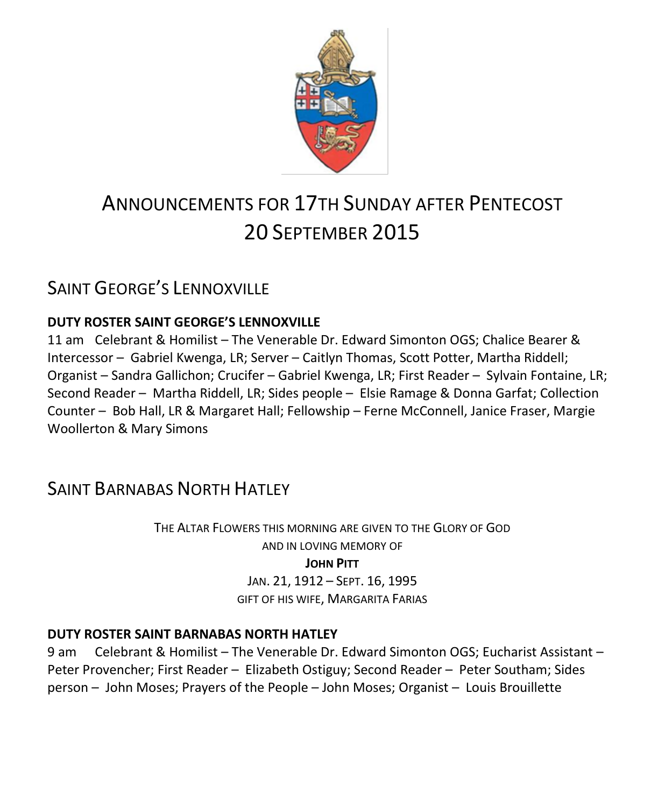

# ANNOUNCEMENTS FOR 17TH SUNDAY AFTER PENTECOST 20 SEPTEMBER 2015

## SAINT GEORGE'S LENNOXVILLE

### **DUTY ROSTER SAINT GEORGE'S LENNOXVILLE**

11 am Celebrant & Homilist – The Venerable Dr. Edward Simonton OGS; Chalice Bearer & Intercessor – Gabriel Kwenga, LR; Server – Caitlyn Thomas, Scott Potter, Martha Riddell; Organist – Sandra Gallichon; Crucifer – Gabriel Kwenga, LR; First Reader – Sylvain Fontaine, LR; Second Reader – Martha Riddell, LR; Sides people – Elsie Ramage & Donna Garfat; Collection Counter – Bob Hall, LR & Margaret Hall; Fellowship – Ferne McConnell, Janice Fraser, Margie Woollerton & Mary Simons

### SAINT BARNABAS NORTH HATLEY

THE ALTAR FLOWERS THIS MORNING ARE GIVEN TO THE GLORY OF GOD AND IN LOVING MEMORY OF **JOHN PITT**

JAN. 21, 1912 – SEPT. 16, 1995 GIFT OF HIS WIFE, MARGARITA FARIAS

### **DUTY ROSTER SAINT BARNABAS NORTH HATLEY**

9 am Celebrant & Homilist – The Venerable Dr. Edward Simonton OGS; Eucharist Assistant – Peter Provencher; First Reader – Elizabeth Ostiguy; Second Reader – Peter Southam; Sides person – John Moses; Prayers of the People – John Moses; Organist – Louis Brouillette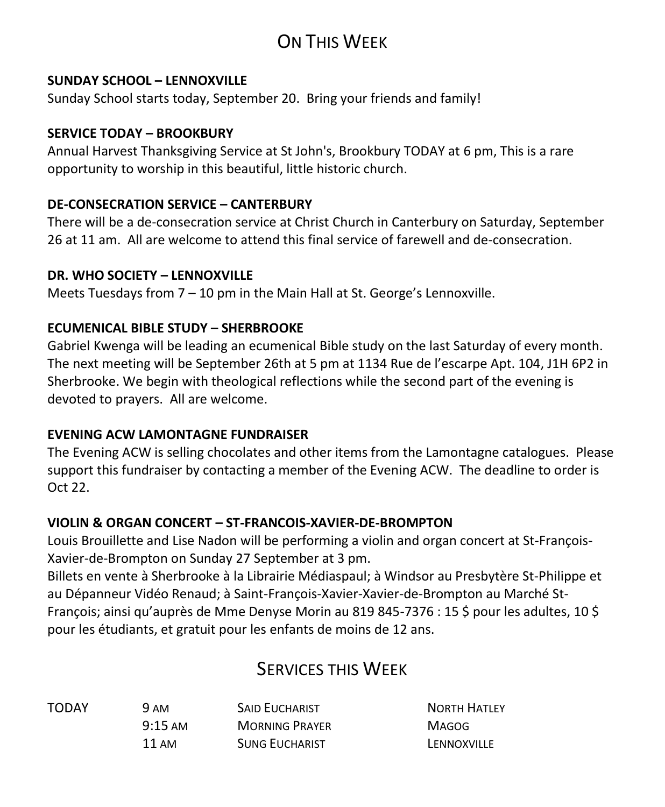# ON THIS WEEK

### **SUNDAY SCHOOL – LENNOXVILLE**

Sunday School starts today, September 20. Bring your friends and family!

### **SERVICE TODAY – BROOKBURY**

Annual Harvest Thanksgiving Service at St John's, Brookbury TODAY at 6 pm, This is a rare opportunity to worship in this beautiful, little historic church.

### **DE-CONSECRATION SERVICE – CANTERBURY**

There will be a de-consecration service at Christ Church in Canterbury on Saturday, September 26 at 11 am. All are welcome to attend this final service of farewell and de-consecration.

### **DR. WHO SOCIETY – LENNOXVILLE**

Meets Tuesdays from 7 – 10 pm in the Main Hall at St. George's Lennoxville.

### **ECUMENICAL BIBLE STUDY – SHERBROOKE**

Gabriel Kwenga will be leading an ecumenical Bible study on the last Saturday of every month. The next meeting will be September 26th at 5 pm at 1134 Rue de l'escarpe Apt. 104, J1H 6P2 in Sherbrooke. We begin with theological reflections while the second part of the evening is devoted to prayers. All are welcome.

### **EVENING ACW LAMONTAGNE FUNDRAISER**

The Evening ACW is selling chocolates and other items from the Lamontagne catalogues. Please support this fundraiser by contacting a member of the Evening ACW. The deadline to order is Oct 22.

### **VIOLIN & ORGAN CONCERT – ST-FRANCOIS-XAVIER-DE-BROMPTON**

Louis Brouillette and Lise Nadon will be performing a violin and organ concert at St-François-Xavier-de-Brompton on Sunday 27 September at 3 pm.

Billets en vente à Sherbrooke à la Librairie Médiaspaul; à Windsor au Presbytère St-Philippe et au Dépanneur Vidéo Renaud; à Saint-François-Xavier-Xavier-de-Brompton au Marché St-François; ainsi qu'auprès de Mme Denyse Morin au 819 845-7376 : 15 \$ pour les adultes, 10 \$ pour les étudiants, et gratuit pour les enfants de moins de 12 ans.

### SERVICES THIS WEEK

| TODAY | 9 AM              | <b>SAID EUCHARIST</b> | <b>NORTH HATLEY</b> |
|-------|-------------------|-----------------------|---------------------|
|       | $9:15 \text{ AM}$ | <b>MORNING PRAYER</b> | <b>MAGOG</b>        |
|       | 11 AM             | <b>SUNG EUCHARIST</b> | LENNOXVILLE         |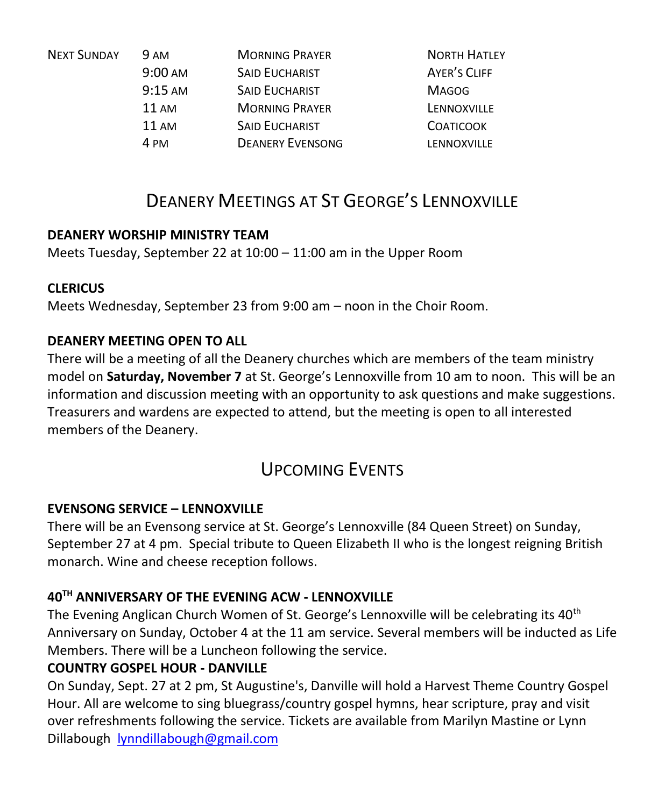| <b>NEXT SUNDAY</b> | <b>9 AM</b>       | <b>MORNING PRAYER</b>   | <b>NORTH HATLEY</b> |
|--------------------|-------------------|-------------------------|---------------------|
|                    | $9:00 \text{ AM}$ | <b>SAID EUCHARIST</b>   | AYER'S CLIFF        |
|                    | $9:15 \text{ AM}$ | <b>SAID EUCHARIST</b>   | <b>MAGOG</b>        |
|                    | 11AM              | <b>MORNING PRAYER</b>   | LENNOXVILLE         |
|                    | 11AM              | <b>SAID EUCHARIST</b>   | <b>COATICOOK</b>    |
|                    | 4 PM              | <b>DEANERY EVENSONG</b> | LENNOXVILLE         |
|                    |                   |                         |                     |

### DEANERY MEETINGS AT ST GEORGE'S LENNOXVILLE

### **DEANERY WORSHIP MINISTRY TEAM**

Meets Tuesday, September 22 at 10:00 – 11:00 am in the Upper Room

### **CLERICUS**

Meets Wednesday, September 23 from 9:00 am – noon in the Choir Room.

### **DEANERY MEETING OPEN TO ALL**

There will be a meeting of all the Deanery churches which are members of the team ministry model on **Saturday, November 7** at St. George's Lennoxville from 10 am to noon. This will be an information and discussion meeting with an opportunity to ask questions and make suggestions. Treasurers and wardens are expected to attend, but the meeting is open to all interested members of the Deanery.

### UPCOMING EVENTS

### **EVENSONG SERVICE – LENNOXVILLE**

There will be an Evensong service at St. George's Lennoxville (84 Queen Street) on Sunday, September 27 at 4 pm. Special tribute to Queen Elizabeth II who is the longest reigning British monarch. Wine and cheese reception follows.

### **40TH ANNIVERSARY OF THE EVENING ACW - LENNOXVILLE**

The Evening Anglican Church Women of St. George's Lennoxville will be celebrating its 40<sup>th</sup> Anniversary on Sunday, October 4 at the 11 am service. Several members will be inducted as Life Members. There will be a Luncheon following the service.

### **COUNTRY GOSPEL HOUR - DANVILLE**

On Sunday, Sept. 27 at 2 pm, St Augustine's, Danville will hold a Harvest Theme Country Gospel Hour. All are welcome to sing bluegrass/country gospel hymns, hear scripture, pray and visit over refreshments following the service. Tickets are available from Marilyn Mastine or Lynn Dillabough **[lynndillabough@gmail.com](https://webmail.ubishops.ca/owa/redir.aspx?SURL=LJSGhpVMwL0dRQzFjqMxTHTRG7fUsFl3n2l0xYG3EhrjE-OcXb_SCG0AYQBpAGwAdABvADoAbAB5AG4AbgBkAGkAbABsAGEAYgBvAHUAZwBoAEAAZwBtAGEAaQBsAC4AYwBvAG0A&URL=mailto%3alynndillabough%40gmail.com)**